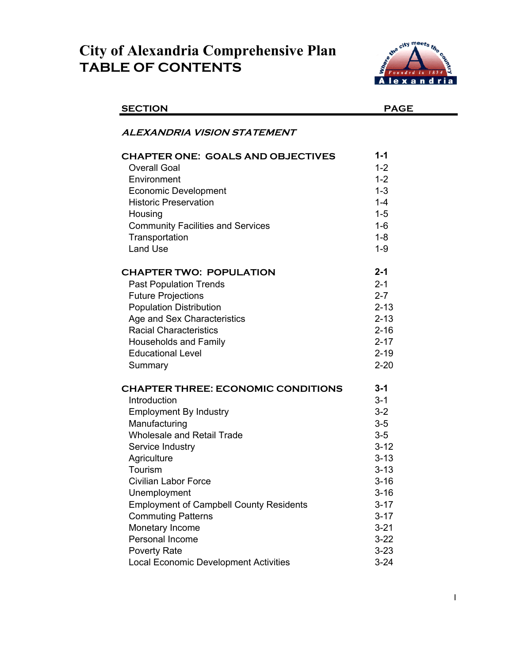## **City of Alexandria Comprehensive Plan TABLE OF CONTENTS**



| <b>SECTION</b>                                 | <b>PAGE</b> |
|------------------------------------------------|-------------|
| ALEXANDRIA VISION STATEMENT                    |             |
| <b>CHAPTER ONE: GOALS AND OBJECTIVES</b>       | $1 - 1$     |
| <b>Overall Goal</b>                            | $1 - 2$     |
| Environment                                    | $1 - 2$     |
| <b>Economic Development</b>                    | $1 - 3$     |
| <b>Historic Preservation</b>                   | $1 - 4$     |
| Housing                                        | $1 - 5$     |
| <b>Community Facilities and Services</b>       | $1 - 6$     |
| Transportation                                 | $1 - 8$     |
| <b>Land Use</b>                                | $1 - 9$     |
| <b>CHAPTER TWO: POPULATION</b>                 | $2 - 1$     |
| <b>Past Population Trends</b>                  | $2 - 1$     |
| <b>Future Projections</b>                      | $2 - 7$     |
| <b>Population Distribution</b>                 | $2 - 13$    |
| Age and Sex Characteristics                    | $2 - 13$    |
| <b>Racial Characteristics</b>                  | $2 - 16$    |
| <b>Households and Family</b>                   | $2 - 17$    |
| <b>Educational Level</b>                       | $2 - 19$    |
| Summary                                        | $2 - 20$    |
| <b>CHAPTER THREE: ECONOMIC CONDITIONS</b>      | $3 - 1$     |
| Introduction                                   | $3 - 1$     |
| <b>Employment By Industry</b>                  | $3 - 2$     |
| Manufacturing                                  | $3-5$       |
| Wholesale and Retail Trade                     | $3-5$       |
| Service Industry                               | $3 - 12$    |
| Agriculture                                    | $3 - 13$    |
| Tourism                                        | $3 - 13$    |
| Civilian Labor Force                           | $3 - 16$    |
| Unemployment                                   | $3 - 16$    |
| <b>Employment of Campbell County Residents</b> | $3 - 17$    |
| <b>Commuting Patterns</b>                      | $3 - 17$    |
| Monetary Income                                | $3 - 21$    |
| Personal Income                                | $3 - 22$    |
| <b>Poverty Rate</b>                            | $3 - 23$    |
| <b>Local Economic Development Activities</b>   | $3 - 24$    |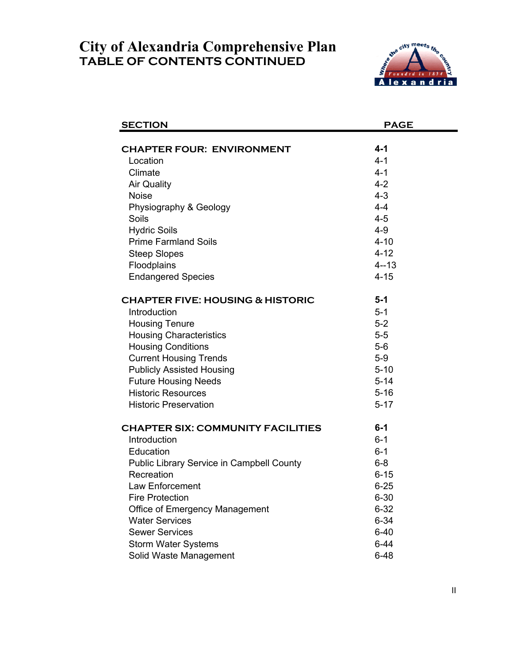## **TABLE OF CONTENTS CONTINUED City of Alexandria Comprehensive Plan**



| $4 - 1$<br><b>CHAPTER FOUR: ENVIRONMENT</b><br>$4 - 1$<br>Location<br>Climate<br>$4 - 1$<br>$4 - 2$<br><b>Air Quality</b><br>$4 - 3$<br><b>Noise</b><br>$4 - 4$<br>Physiography & Geology<br>$4 - 5$<br>Soils<br><b>Hydric Soils</b><br>$4 - 9$<br><b>Prime Farmland Soils</b><br>$4 - 10$<br>$4 - 12$<br><b>Steep Slopes</b><br>$4 - 13$<br>Floodplains<br><b>Endangered Species</b><br>$4 - 15$<br><b>CHAPTER FIVE: HOUSING &amp; HISTORIC</b><br>$5 - 1$<br>Introduction<br>$5 - 1$<br>$5-2$<br><b>Housing Tenure</b><br>$5-5$<br><b>Housing Characteristics</b><br><b>Housing Conditions</b><br>$5-6$<br><b>Current Housing Trends</b><br>$5-9$<br><b>Publicly Assisted Housing</b><br>$5 - 10$ |
|-----------------------------------------------------------------------------------------------------------------------------------------------------------------------------------------------------------------------------------------------------------------------------------------------------------------------------------------------------------------------------------------------------------------------------------------------------------------------------------------------------------------------------------------------------------------------------------------------------------------------------------------------------------------------------------------------------|
|                                                                                                                                                                                                                                                                                                                                                                                                                                                                                                                                                                                                                                                                                                     |
|                                                                                                                                                                                                                                                                                                                                                                                                                                                                                                                                                                                                                                                                                                     |
|                                                                                                                                                                                                                                                                                                                                                                                                                                                                                                                                                                                                                                                                                                     |
|                                                                                                                                                                                                                                                                                                                                                                                                                                                                                                                                                                                                                                                                                                     |
|                                                                                                                                                                                                                                                                                                                                                                                                                                                                                                                                                                                                                                                                                                     |
|                                                                                                                                                                                                                                                                                                                                                                                                                                                                                                                                                                                                                                                                                                     |
|                                                                                                                                                                                                                                                                                                                                                                                                                                                                                                                                                                                                                                                                                                     |
|                                                                                                                                                                                                                                                                                                                                                                                                                                                                                                                                                                                                                                                                                                     |
|                                                                                                                                                                                                                                                                                                                                                                                                                                                                                                                                                                                                                                                                                                     |
|                                                                                                                                                                                                                                                                                                                                                                                                                                                                                                                                                                                                                                                                                                     |
|                                                                                                                                                                                                                                                                                                                                                                                                                                                                                                                                                                                                                                                                                                     |
|                                                                                                                                                                                                                                                                                                                                                                                                                                                                                                                                                                                                                                                                                                     |
|                                                                                                                                                                                                                                                                                                                                                                                                                                                                                                                                                                                                                                                                                                     |
|                                                                                                                                                                                                                                                                                                                                                                                                                                                                                                                                                                                                                                                                                                     |
|                                                                                                                                                                                                                                                                                                                                                                                                                                                                                                                                                                                                                                                                                                     |
|                                                                                                                                                                                                                                                                                                                                                                                                                                                                                                                                                                                                                                                                                                     |
|                                                                                                                                                                                                                                                                                                                                                                                                                                                                                                                                                                                                                                                                                                     |
|                                                                                                                                                                                                                                                                                                                                                                                                                                                                                                                                                                                                                                                                                                     |
|                                                                                                                                                                                                                                                                                                                                                                                                                                                                                                                                                                                                                                                                                                     |
|                                                                                                                                                                                                                                                                                                                                                                                                                                                                                                                                                                                                                                                                                                     |
| <b>Future Housing Needs</b><br>$5 - 14$                                                                                                                                                                                                                                                                                                                                                                                                                                                                                                                                                                                                                                                             |
| <b>Historic Resources</b><br>$5 - 16$                                                                                                                                                                                                                                                                                                                                                                                                                                                                                                                                                                                                                                                               |
| <b>Historic Preservation</b><br>$5 - 17$                                                                                                                                                                                                                                                                                                                                                                                                                                                                                                                                                                                                                                                            |
| $6-1$<br><b>CHAPTER SIX: COMMUNITY FACILITIES</b>                                                                                                                                                                                                                                                                                                                                                                                                                                                                                                                                                                                                                                                   |
| Introduction<br>$6 - 1$                                                                                                                                                                                                                                                                                                                                                                                                                                                                                                                                                                                                                                                                             |
| Education<br>$6 - 1$                                                                                                                                                                                                                                                                                                                                                                                                                                                                                                                                                                                                                                                                                |
| $6 - 8$<br><b>Public Library Service in Campbell County</b>                                                                                                                                                                                                                                                                                                                                                                                                                                                                                                                                                                                                                                         |
| Recreation<br>$6 - 15$                                                                                                                                                                                                                                                                                                                                                                                                                                                                                                                                                                                                                                                                              |
| Law Enforcement<br>$6 - 25$                                                                                                                                                                                                                                                                                                                                                                                                                                                                                                                                                                                                                                                                         |
| <b>Fire Protection</b><br>$6 - 30$                                                                                                                                                                                                                                                                                                                                                                                                                                                                                                                                                                                                                                                                  |
| <b>Office of Emergency Management</b><br>$6 - 32$                                                                                                                                                                                                                                                                                                                                                                                                                                                                                                                                                                                                                                                   |
| <b>Water Services</b><br>$6 - 34$                                                                                                                                                                                                                                                                                                                                                                                                                                                                                                                                                                                                                                                                   |
| <b>Sewer Services</b><br>$6 - 40$                                                                                                                                                                                                                                                                                                                                                                                                                                                                                                                                                                                                                                                                   |
| $6 - 44$<br><b>Storm Water Systems</b>                                                                                                                                                                                                                                                                                                                                                                                                                                                                                                                                                                                                                                                              |
| $6 - 48$<br>Solid Waste Management                                                                                                                                                                                                                                                                                                                                                                                                                                                                                                                                                                                                                                                                  |